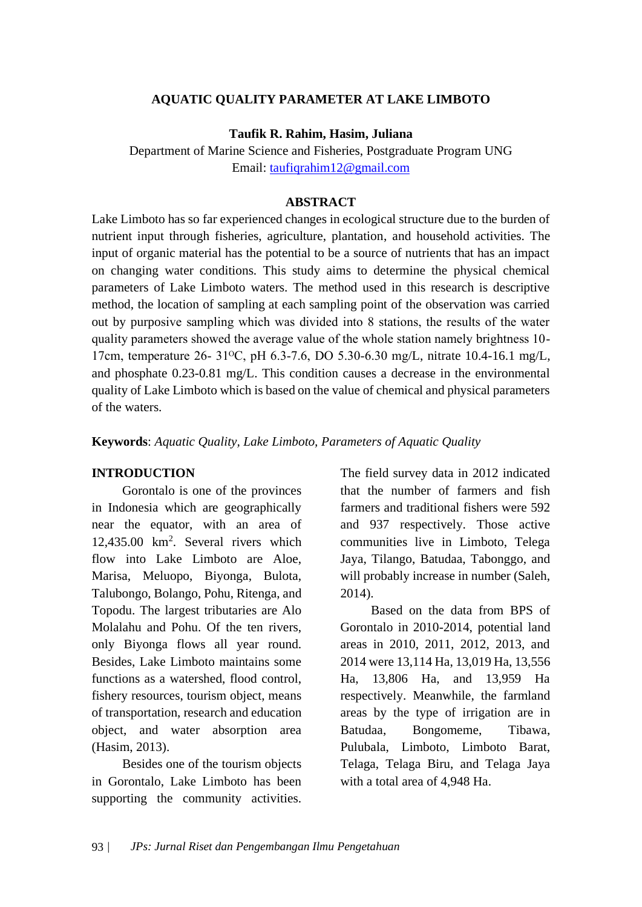## **AQUATIC QUALITY PARAMETER AT LAKE LIMBOTO**

### **Taufik R. Rahim, Hasim, Juliana**

Department of Marine Science and Fisheries, Postgraduate Program UNG Email: [taufiqrahim12@gmail.com](mailto:taufiqrahim12@gmail.com)

### **ABSTRACT**

Lake Limboto has so far experienced changes in ecological structure due to the burden of nutrient input through fisheries, agriculture, plantation, and household activities. The input of organic material has the potential to be a source of nutrients that has an impact on changing water conditions. This study aims to determine the physical chemical parameters of Lake Limboto waters. The method used in this research is descriptive method, the location of sampling at each sampling point of the observation was carried out by purposive sampling which was divided into 8 stations, the results of the water quality parameters showed the average value of the whole station namely brightness 10- 17cm, temperature 26- 31<sup>o</sup>C, pH 6.3-7.6, DO 5.30-6.30 mg/L, nitrate 10.4-16.1 mg/L, and phosphate 0.23-0.81 mg/L. This condition causes a decrease in the environmental quality of Lake Limboto which is based on the value of chemical and physical parameters of the waters.

**Keywords**: *Aquatic Quality, Lake Limboto, Parameters of Aquatic Quality*

#### **INTRODUCTION**

Gorontalo is one of the provinces in Indonesia which are geographically near the equator, with an area of 12,435.00 km<sup>2</sup> . Several rivers which flow into Lake Limboto are Aloe, Marisa, Meluopo, Biyonga, Bulota, Talubongo, Bolango, Pohu, Ritenga, and Topodu. The largest tributaries are Alo Molalahu and Pohu. Of the ten rivers, only Biyonga flows all year round. Besides, Lake Limboto maintains some functions as a watershed, flood control, fishery resources, tourism object, means of transportation, research and education object, and water absorption area (Hasim, 2013).

Besides one of the tourism objects in Gorontalo, Lake Limboto has been supporting the community activities.

The field survey data in 2012 indicated that the number of farmers and fish farmers and traditional fishers were 592 and 937 respectively. Those active communities live in Limboto, Telega Jaya, Tilango, Batudaa, Tabonggo, and will probably increase in number (Saleh, 2014).

Based on the data from BPS of Gorontalo in 2010-2014, potential land areas in 2010, 2011, 2012, 2013, and 2014 were 13,114 Ha, 13,019 Ha, 13,556 Ha, 13,806 Ha, and 13,959 Ha respectively. Meanwhile, the farmland areas by the type of irrigation are in Batudaa, Bongomeme, Tibawa, Pulubala, Limboto, Limboto Barat, Telaga, Telaga Biru, and Telaga Jaya with a total area of 4,948 Ha.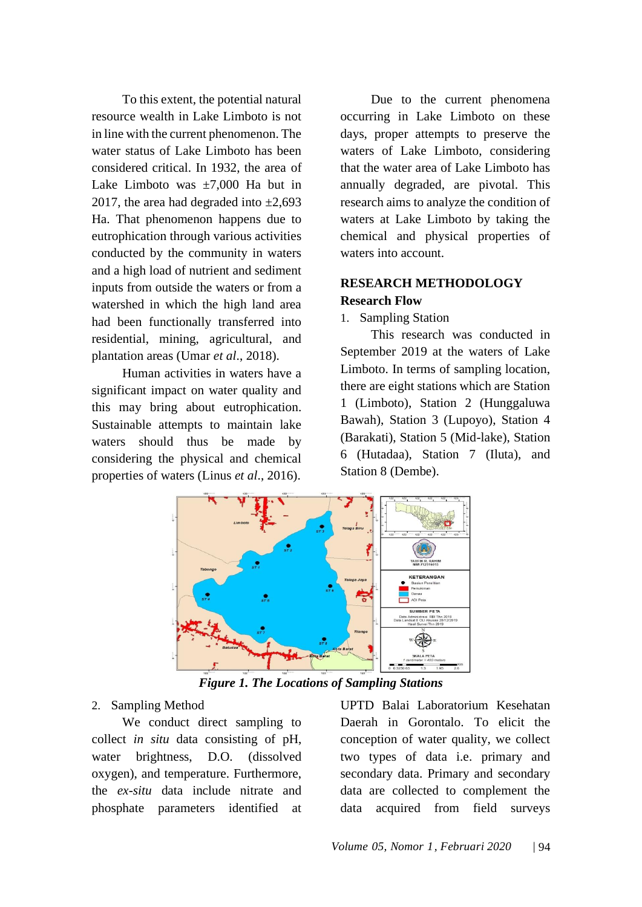To this extent, the potential natural resource wealth in Lake Limboto is not in line with the current phenomenon. The water status of Lake Limboto has been considered critical. In 1932, the area of Lake Limboto was  $\pm 7,000$  Ha but in 2017, the area had degraded into  $\pm 2,693$ Ha. That phenomenon happens due to eutrophication through various activities conducted by the community in waters and a high load of nutrient and sediment inputs from outside the waters or from a watershed in which the high land area had been functionally transferred into residential, mining, agricultural, and plantation areas (Umar *et al*., 2018).

Human activities in waters have a significant impact on water quality and this may bring about eutrophication. Sustainable attempts to maintain lake waters should thus be made by considering the physical and chemical properties of waters (Linus *et al*., 2016).

Due to the current phenomena occurring in Lake Limboto on these days, proper attempts to preserve the waters of Lake Limboto, considering that the water area of Lake Limboto has annually degraded, are pivotal. This research aims to analyze the condition of waters at Lake Limboto by taking the chemical and physical properties of waters into account.

# **RESEARCH METHODOLOGY Research Flow**

1. Sampling Station

This research was conducted in September 2019 at the waters of Lake Limboto. In terms of sampling location, there are eight stations which are Station 1 (Limboto), Station 2 (Hunggaluwa Bawah), Station 3 (Lupoyo), Station 4 (Barakati), Station 5 (Mid-lake), Station 6 (Hutadaa), Station 7 (Iluta), and Station 8 (Dembe).



*Figure 1. The Locations of Sampling Stations*

# 2. Sampling Method

We conduct direct sampling to collect *in situ* data consisting of pH, water brightness, D.O. (dissolved oxygen), and temperature. Furthermore, the *ex-situ* data include nitrate and phosphate parameters identified at UPTD Balai Laboratorium Kesehatan Daerah in Gorontalo. To elicit the conception of water quality, we collect two types of data i.e. primary and secondary data. Primary and secondary data are collected to complement the data acquired from field surveys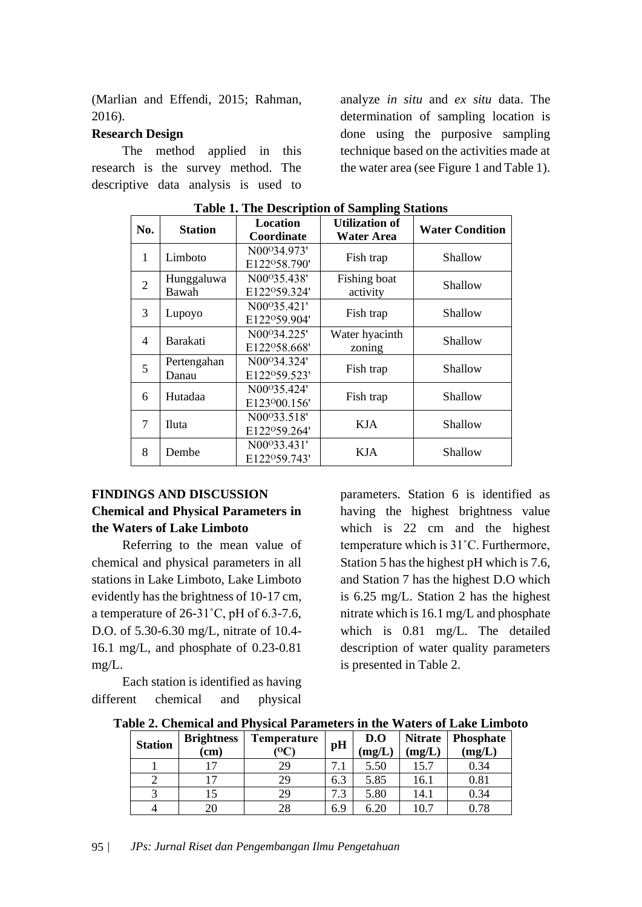(Marlian and Effendi, 2015; Rahman, 2016).

## **Research Design**

The method applied in this research is the survey method. The descriptive data analysis is used to

analyze *in situ* and *ex situ* data. The determination of sampling location is done using the purposive sampling technique based on the activities made at the water area (see Figure 1 and Table 1).

| No.            | <b>Station</b>       | Location<br>Coordinate                                | <b>Utilization of</b><br>Water Area | <b>Water Condition</b> |
|----------------|----------------------|-------------------------------------------------------|-------------------------------------|------------------------|
| 1              | Limboto              | N00°34.973'<br>E122°58.790'                           | Fish trap                           | Shallow                |
| $\overline{2}$ | Hunggaluwa<br>Bawah  | N00 <sup>o</sup> 35.438'<br>E122°59.324'              | Fishing boat<br>activity            | Shallow                |
| 3              | Lupoyo               | N00 <sup>o</sup> 35.421'<br>E122°59.904'              | Fish trap                           | Shallow                |
| 4              | Barakati             | N00 <sup>o</sup> 34.225'<br>E122°58.668'              | Water hyacinth<br>zoning            | Shallow                |
| 5              | Pertengahan<br>Danau | N00 <sup>o</sup> 34.324'<br>E122°59.523'              | Fish trap                           | Shallow                |
| 6              | Hutadaa              | N00 <sup>o</sup> 35.424'<br>E123 <sup>o</sup> 00.156' | Fish trap                           | Shallow                |
| 7              | Iluta                | N00 <sup>o</sup> 33.518'<br>E122°59.264'              | <b>KJA</b>                          | Shallow                |
| 8              | Dembe                | N00°33.431'<br>E122°59.743'                           | <b>KJA</b>                          | Shallow                |

**Table 1. The Description of Sampling Stations**

# **FINDINGS AND DISCUSSION Chemical and Physical Parameters in the Waters of Lake Limboto**

Referring to the mean value of chemical and physical parameters in all stations in Lake Limboto, Lake Limboto evidently has the brightness of 10-17 cm, a temperature of 26-31˚C, pH of 6.3-7.6, D.O. of 5.30-6.30 mg/L, nitrate of 10.4- 16.1 mg/L, and phosphate of 0.23-0.81 mg/L.

Each station is identified as having different chemical and physical

parameters. Station 6 is identified as having the highest brightness value which is 22 cm and the highest temperature which is 31˚C. Furthermore, Station 5 has the highest pH which is 7.6, and Station 7 has the highest D.O which is 6.25 mg/L. Station 2 has the highest nitrate which is 16.1 mg/L and phosphate which is 0.81 mg/L. The detailed description of water quality parameters is presented in Table 2.

|  |  |  |  |  | Table 2. Chemical and Physical Parameters in the Waters of Lake Limboto |  |  |  |  |
|--|--|--|--|--|-------------------------------------------------------------------------|--|--|--|--|
|--|--|--|--|--|-------------------------------------------------------------------------|--|--|--|--|

| <b>Station</b> | <b>Brightness</b><br>(cm) | Temperature<br>06 | pH                        | D.O<br>(mg/L) | <b>Nitrate</b><br>(mg/L) | <b>Phosphate</b><br>(mg/L) |
|----------------|---------------------------|-------------------|---------------------------|---------------|--------------------------|----------------------------|
|                |                           | 29                | ⇁                         | 5.50          | 15.7                     | 0.34                       |
|                |                           | 29                | 6.3                       | 5.85          | 16.1                     | 0.81                       |
|                |                           | 29                | $\mathbf{r}$<br>$\cdot$ 3 | 5.80          | 14.1                     | 0.34                       |
|                | 20                        | 28                | 6.9                       | 6.20          | 10.7                     | $\rm 0.78$                 |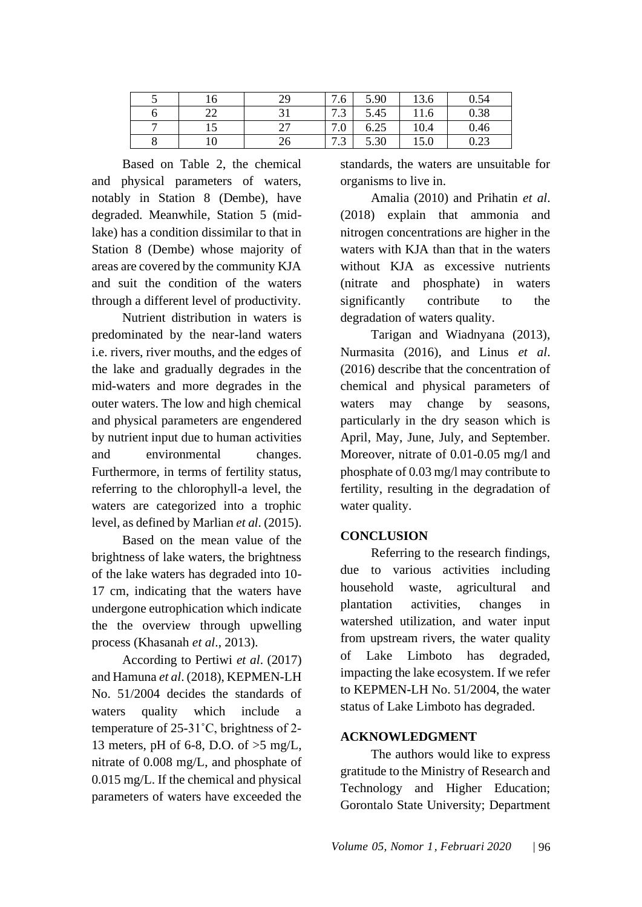| 16 | 7Ο | $\overline{ }$<br>7.6            | 5.90 | 12 <sup>2</sup><br>15.0 | 0.54 |
|----|----|----------------------------------|------|-------------------------|------|
| -- |    | $\overline{ }$<br>$\sim$<br>ر ،  | 5.45 | 11.6                    | 0.38 |
| ⊥ັ |    | $\mathbf{r}$<br>$\Omega$<br>1.0  | 6.25 | 10.4                    | 0.46 |
| 10 | 26 | $\overline{ }$<br>$\sim$<br>ر. ر | 5.30 | 15.0                    | 0.23 |

Based on Table 2, the chemical and physical parameters of waters, notably in Station 8 (Dembe), have degraded. Meanwhile, Station 5 (midlake) has a condition dissimilar to that in Station 8 (Dembe) whose majority of areas are covered by the community KJA and suit the condition of the waters through a different level of productivity.

Nutrient distribution in waters is predominated by the near-land waters i.e. rivers, river mouths, and the edges of the lake and gradually degrades in the mid-waters and more degrades in the outer waters. The low and high chemical and physical parameters are engendered by nutrient input due to human activities and environmental changes. Furthermore, in terms of fertility status, referring to the chlorophyll-a level, the waters are categorized into a trophic level, as defined by Marlian *et al*. (2015).

Based on the mean value of the brightness of lake waters, the brightness of the lake waters has degraded into 10- 17 cm, indicating that the waters have undergone eutrophication which indicate the the overview through upwelling process (Khasanah *et al*., 2013).

According to Pertiwi *et al*. (2017) and Hamuna *et al*. (2018), KEPMEN-LH No. 51/2004 decides the standards of waters quality which include a temperature of 25-31˚C, brightness of 2- 13 meters, pH of 6-8, D.O. of >5 mg/L, nitrate of 0.008 mg/L, and phosphate of 0.015 mg/L. If the chemical and physical parameters of waters have exceeded the

standards, the waters are unsuitable for organisms to live in.

Amalia (2010) and Prihatin *et al*. (2018) explain that ammonia and nitrogen concentrations are higher in the waters with KJA than that in the waters without KJA as excessive nutrients (nitrate and phosphate) in waters significantly contribute to the degradation of waters quality.

Tarigan and Wiadnyana (2013), Nurmasita (2016), and Linus *et al*. (2016) describe that the concentration of chemical and physical parameters of waters may change by seasons, particularly in the dry season which is April, May, June, July, and September. Moreover, nitrate of 0.01-0.05 mg/l and phosphate of 0.03 mg/l may contribute to fertility, resulting in the degradation of water quality.

# **CONCLUSION**

Referring to the research findings, due to various activities including household waste, agricultural and plantation activities, changes in watershed utilization, and water input from upstream rivers, the water quality of Lake Limboto has degraded, impacting the lake ecosystem. If we refer to KEPMEN-LH No. 51/2004, the water status of Lake Limboto has degraded.

# **ACKNOWLEDGMENT**

The authors would like to express gratitude to the Ministry of Research and Technology and Higher Education; Gorontalo State University; Department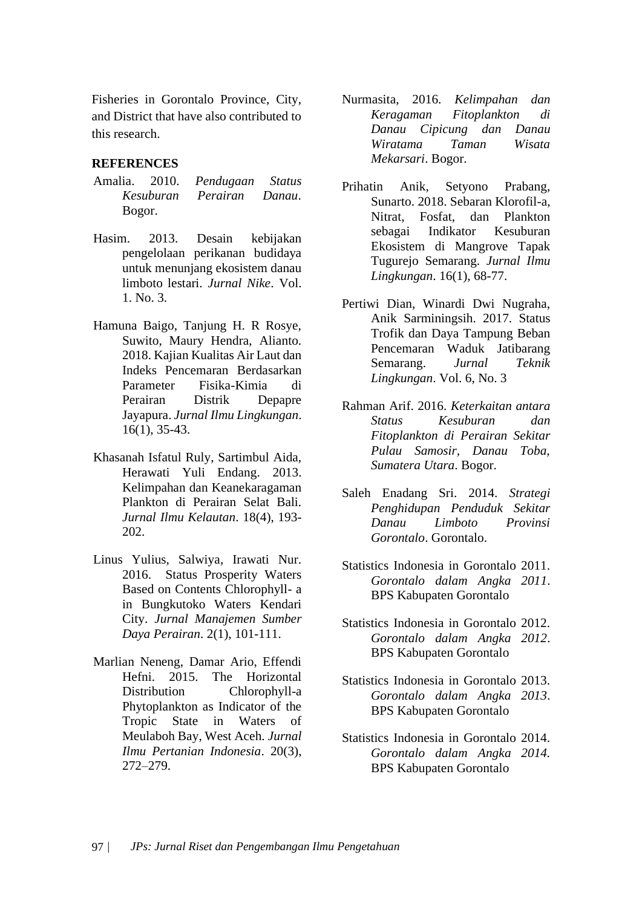Fisheries in Gorontalo Province, City, and District that have also contributed to this research.

## **REFERENCES**

- Amalia. 2010. *Pendugaan Status Kesuburan Perairan Danau*. Bogor.
- Hasim. 2013. Desain kebijakan pengelolaan perikanan budidaya untuk menunjang ekosistem danau limboto lestari. *Jurnal Nike*. Vol. 1. No. 3.
- Hamuna Baigo, Tanjung H. R Rosye, Suwito, Maury Hendra, Alianto. 2018. Kajian Kualitas Air Laut dan Indeks Pencemaran Berdasarkan Parameter Fisika-Kimia di Perairan Distrik Depapre Jayapura. *Jurnal Ilmu Lingkungan*. 16(1), 35-43.
- Khasanah Isfatul Ruly, Sartimbul Aida, Herawati Yuli Endang. 2013. Kelimpahan dan Keanekaragaman Plankton di Perairan Selat Bali. *Jurnal Ilmu Kelautan*. 18(4), 193- 202.
- Linus Yulius, Salwiya, Irawati Nur. 2016. Status Prosperity Waters Based on Contents Chlorophyll- a in Bungkutoko Waters Kendari City. *Jurnal Manajemen Sumber Daya Perairan*. 2(1), 101-111.
- Marlian Neneng, Damar Ario, Effendi Hefni. 2015. The Horizontal Distribution Chlorophyll-a Phytoplankton as Indicator of the Tropic State in Waters of Meulaboh Bay, West Aceh. *Jurnal Ilmu Pertanian Indonesia*. 20(3), 272–279.
- Nurmasita, 2016. *Kelimpahan dan Keragaman Fitoplankton di Danau Cipicung dan Danau Wiratama Taman Wisata Mekarsari*. Bogor.
- Prihatin Anik, Setyono Prabang, Sunarto. 2018. Sebaran Klorofil-a, Nitrat, Fosfat, dan Plankton sebagai Indikator Kesuburan Ekosistem di Mangrove Tapak Tugurejo Semarang. *Jurnal Ilmu Lingkungan*. 16(1), 68-77.
- Pertiwi Dian, Winardi Dwi Nugraha, Anik Sarminingsih. 2017. Status Trofik dan Daya Tampung Beban Pencemaran Waduk Jatibarang Semarang. *Jurnal Teknik Lingkungan*. Vol. 6, No. 3
- Rahman Arif. 2016. *Keterkaitan antara Status Kesuburan dan Fitoplankton di Perairan Sekitar Pulau Samosir, Danau Toba, Sumatera Utara*. Bogor.
- Saleh Enadang Sri. 2014. *Strategi Penghidupan Penduduk Sekitar Danau Limboto Provinsi Gorontalo*. Gorontalo.
- Statistics Indonesia in Gorontalo 2011. *Gorontalo dalam Angka 2011*. BPS Kabupaten Gorontalo
- Statistics Indonesia in Gorontalo 2012. *Gorontalo dalam Angka 2012*. BPS Kabupaten Gorontalo
- Statistics Indonesia in Gorontalo 2013. *Gorontalo dalam Angka 2013*. BPS Kabupaten Gorontalo
- Statistics Indonesia in Gorontalo 2014. *Gorontalo dalam Angka 2014.* BPS Kabupaten Gorontalo